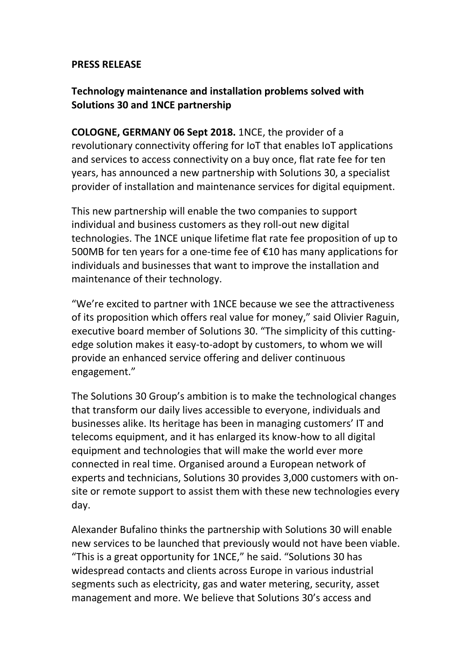#### **PRESS RELEASE**

# **Technology maintenance and installation problems solved with Solutions 30 and 1NCE partnership**

**COLOGNE, GERMANY 06 Sept 2018.** 1NCE, the provider of a revolutionary connectivity offering for IoT that enables IoT applications and services to access connectivity on a buy once, flat rate fee for ten years, has announced a new partnership with Solutions 30, a specialist provider of installation and maintenance services for digital equipment.

This new partnership will enable the two companies to support individual and business customers as they roll-out new digital technologies. The 1NCE unique lifetime flat rate fee proposition of up to 500MB for ten years for a one-time fee of €10 has many applications for individuals and businesses that want to improve the installation and maintenance of their technology.

"We're excited to partner with 1NCE because we see the attractiveness of its proposition which offers real value for money," said Olivier Raguin, executive board member of Solutions 30. "The simplicity of this cuttingedge solution makes it easy-to-adopt by customers, to whom we will provide an enhanced service offering and deliver continuous engagement."

The Solutions 30 Group's ambition is to make the technological changes that transform our daily lives accessible to everyone, individuals and businesses alike. Its heritage has been in managing customers' IT and telecoms equipment, and it has enlarged its know-how to all digital equipment and technologies that will make the world ever more connected in real time. Organised around a European network of experts and technicians, Solutions 30 provides 3,000 customers with onsite or remote support to assist them with these new technologies every day.

Alexander Bufalino thinks the partnership with Solutions 30 will enable new services to be launched that previously would not have been viable. "This is a great opportunity for 1NCE," he said. "Solutions 30 has widespread contacts and clients across Europe in various industrial segments such as electricity, gas and water metering, security, asset management and more. We believe that Solutions 30's access and